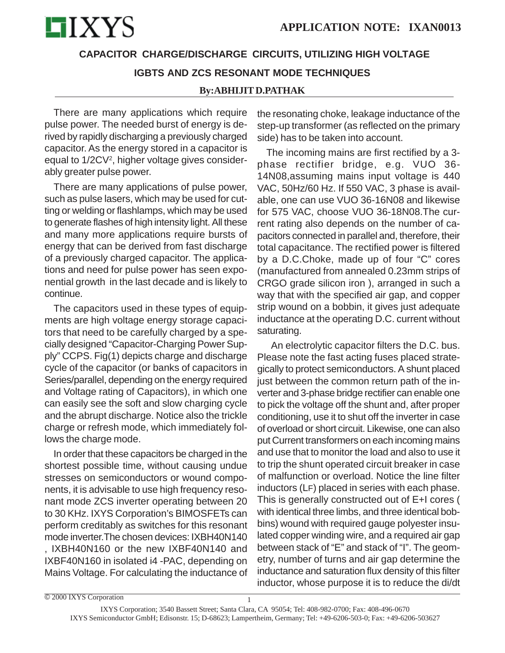

# **CAPACITOR CHARGE/DISCHARGE CIRCUITS, UTILIZING HIGH VOLTAGE IGBTS AND ZCS RESONANT MODE TECHNIQUES**

#### **By:ABHIJIT D.PATHAK**

There are many applications which require pulse power. The needed burst of energy is derived by rapidly discharging a previously charged capacitor. As the energy stored in a capacitor is equal to 1/2CV<sup>2</sup>, higher voltage gives considerably greater pulse power.

There are many applications of pulse power, such as pulse lasers, which may be used for cutting or welding or flashlamps, which may be used to generate flashes of high intensity light. All these and many more applications require bursts of energy that can be derived from fast discharge of a previously charged capacitor. The applications and need for pulse power has seen exponential growth in the last decade and is likely to continue.

The capacitors used in these types of equipments are high voltage energy storage capacitors that need to be carefully charged by a specially designed "Capacitor-Charging Power Supply" CCPS. Fig(1) depicts charge and discharge cycle of the capacitor (or banks of capacitors in Series/parallel, depending on the energy required and Voltage rating of Capacitors), in which one can easily see the soft and slow charging cycle and the abrupt discharge. Notice also the trickle charge or refresh mode, which immediately follows the charge mode.

In order that these capacitors be charged in the shortest possible time, without causing undue stresses on semiconductors or wound components, it is advisable to use high frequency resonant mode ZCS inverter operating between 20 to 30 KHz. IXYS Corporation's BIMOSFETs can perform creditably as switches for this resonant mode inverter.The chosen devices: IXBH40N140

, IXBH40N160 or the new IXBF40N140 and IXBF40N160 in isolated i4 -PAC, depending on Mains Voltage. For calculating the inductance of the resonating choke, leakage inductance of the step-up transformer (as reflected on the primary side) has to be taken into account.

The incoming mains are first rectified by a 3 phase rectifier bridge, e.g. VUO 36- 14N08,assuming mains input voltage is 440 VAC, 50Hz/60 Hz. If 550 VAC, 3 phase is available, one can use VUO 36-16N08 and likewise for 575 VAC, choose VUO 36-18N08.The current rating also depends on the number of capacitors connected in parallel and, therefore, their total capacitance. The rectified power is filtered by a D.C.Choke, made up of four "C" cores (manufactured from annealed 0.23mm strips of CRGO grade silicon iron ), arranged in such a way that with the specified air gap, and copper strip wound on a bobbin, it gives just adequate inductance at the operating D.C. current without saturating.

 An electrolytic capacitor filters the D.C. bus. Please note the fast acting fuses placed strategically to protect semiconductors. A shunt placed just between the common return path of the inverter and 3-phase bridge rectifier can enable one to pick the voltage off the shunt and, after proper conditioning, use it to shut off the inverter in case of overload or short circuit. Likewise, one can also put Current transformers on each incoming mains and use that to monitor the load and also to use it to trip the shunt operated circuit breaker in case of malfunction or overload. Notice the line filter inductors (LF) placed in series with each phase. This is generally constructed out of E+I cores ( with identical three limbs, and three identical bobbins) wound with required gauge polyester insulated copper winding wire, and a required air gap between stack of "E" and stack of "I". The geometry, number of turns and air gap determine the inductance and saturation flux density of this filter inductor, whose purpose it is to reduce the di/dt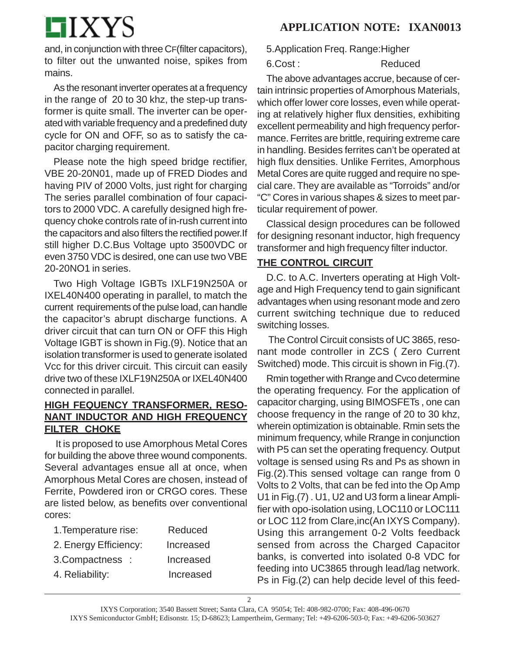# **LIXYS**

and, in conjunction with three CF(filter capacitors), to filter out the unwanted noise, spikes from mains.

As the resonant inverter operates at a frequency in the range of 20 to 30 khz, the step-up transformer is quite small. The inverter can be operated with variable frequency and a predefined duty cycle for ON and OFF, so as to satisfy the capacitor charging requirement.

Please note the high speed bridge rectifier, VBE 20-20N01, made up of FRED Diodes and having PIV of 2000 Volts, just right for charging The series parallel combination of four capacitors to 2000 VDC. A carefully designed high frequency choke controls rate of in-rush current into the capacitors and also filters the rectified power.If still higher D.C.Bus Voltage upto 3500VDC or even 3750 VDC is desired, one can use two VBE 20-20NO1 in series.

Two High Voltage IGBTs IXLF19N250A or IXEL40N400 operating in parallel, to match the current requirements of the pulse load, can handle the capacitor's abrupt discharge functions. A driver circuit that can turn ON or OFF this High Voltage IGBT is shown in Fig.(9). Notice that an isolation transformer is used to generate isolated Vcc for this driver circuit. This circuit can easily drive two of these IXLF19N250A or IXEL40N400 connected in parallel.

#### **HIGH FEQUENCY TRANSFORMER, RESO-NANT INDUCTOR AND HIGH FREQUENCY FILTER CHOKE**

 It is proposed to use Amorphous Metal Cores for building the above three wound components. Several advantages ensue all at once, when Amorphous Metal Cores are chosen, instead of Ferrite, Powdered iron or CRGO cores. These are listed below, as benefits over conventional cores:

| 1. Temperature rise:  | Reduced   |
|-----------------------|-----------|
| 2. Energy Efficiency: | Increased |
| 3. Compactness :      | Increased |
| 4. Reliability:       | Increased |

5.Application Freq. Range:Higher

6.Cost : Reduced

The above advantages accrue, because of certain intrinsic properties of Amorphous Materials, which offer lower core losses, even while operating at relatively higher flux densities, exhibiting excellent permeability and high frequency performance. Ferrites are brittle, requiring extreme care in handling. Besides ferrites can't be operated at high flux densities. Unlike Ferrites, Amorphous Metal Cores are quite rugged and require no special care. They are available as "Torroids" and/or "C" Cores in various shapes & sizes to meet particular requirement of power.

Classical design procedures can be followed for designing resonant inductor, high frequency transformer and high frequency filter inductor.

## **THE CONTROL CIRCUIT**

D.C. to A.C. Inverters operating at High Voltage and High Frequency tend to gain significant advantages when using resonant mode and zero current switching technique due to reduced switching losses.

 The Control Circuit consists of UC 3865, resonant mode controller in ZCS ( Zero Current Switched) mode. This circuit is shown in Fig.(7).

Rmin together with Rrange and Cvco determine the operating frequency. For the application of capacitor charging, using BIMOSFETs , one can choose frequency in the range of 20 to 30 khz, wherein optimization is obtainable. Rmin sets the minimum frequency, while Rrange in conjunction with P5 can set the operating frequency. Output voltage is sensed using Rs and Ps as shown in Fig.(2).This sensed voltage can range from 0 Volts to 2 Volts, that can be fed into the Op Amp U1 in Fig.(7) . U1, U2 and U3 form a linear Amplifier with opo-isolation using, LOC110 or LOC111 or LOC 112 from Clare,inc(An IXYS Company). Using this arrangement 0-2 Volts feedback sensed from across the Charged Capacitor banks, is converted into isolated 0-8 VDC for feeding into UC3865 through lead/lag network. Ps in Fig.(2) can help decide level of this feed-

2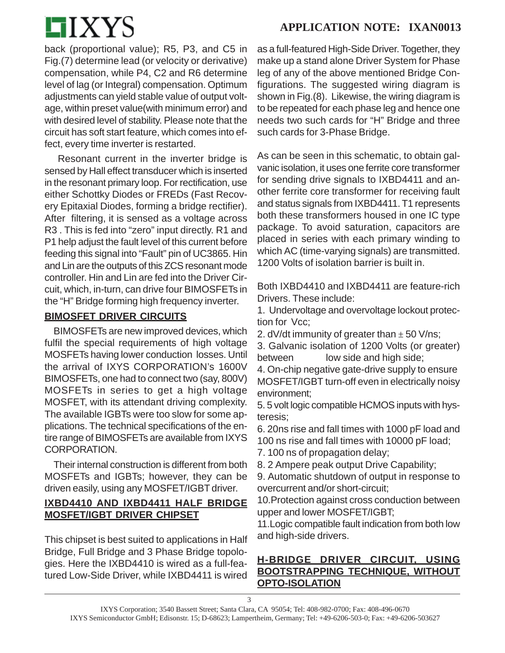

back (proportional value); R5, P3, and C5 in Fig.(7) determine lead (or velocity or derivative) compensation, while P4, C2 and R6 determine level of lag (or Integral) compensation. Optimum adjustments can yield stable value of output voltage, within preset value(with minimum error) and with desired level of stability. Please note that the circuit has soft start feature, which comes into effect, every time inverter is restarted.

 Resonant current in the inverter bridge is sensed by Hall effect transducer which is inserted in the resonant primary loop. For rectification, use either Schottky Diodes or FREDs (Fast Recovery Epitaxial Diodes, forming a bridge rectifier). After filtering, it is sensed as a voltage across R3 . This is fed into "zero" input directly. R1 and P1 help adjust the fault level of this current before feeding this signal into "Fault" pin of UC3865. Hin and Lin are the outputs of this ZCS resonant mode controller. Hin and Lin are fed into the Driver Circuit, which, in-turn, can drive four BIMOSFETs in the "H" Bridge forming high frequency inverter.

#### **BIMOSFET DRIVER CIRCUITS**

BIMOSFETs are new improved devices, which fulfil the special requirements of high voltage MOSFETs having lower conduction losses. Until the arrival of IXYS CORPORATION's 1600V BIMOSFETs, one had to connect two (say, 800V) MOSFETs in series to get a high voltage MOSFET, with its attendant driving complexity. The available IGBTs were too slow for some applications. The technical specifications of the entire range of BIMOSFETs are available from IXYS CORPORATION.

Their internal construction is different from both MOSFETs and IGBTs; however, they can be driven easily, using any MOSFET/IGBT driver.

#### **IXBD4410 AND IXBD4411 HALF BRIDGE MOSFET/IGBT DRIVER CHIPSET**

This chipset is best suited to applications in Half Bridge, Full Bridge and 3 Phase Bridge topologies. Here the IXBD4410 is wired as a full-featured Low-Side Driver, while IXBD4411 is wired as a full-featured High-Side Driver. Together, they make up a stand alone Driver System for Phase leg of any of the above mentioned Bridge Configurations. The suggested wiring diagram is shown in Fig.(8). Likewise, the wiring diagram is to be repeated for each phase leg and hence one needs two such cards for "H" Bridge and three such cards for 3-Phase Bridge.

As can be seen in this schematic, to obtain galvanic isolation, it uses one ferrite core transformer for sending drive signals to IXBD4411 and another ferrite core transformer for receiving fault and status signals from IXBD4411. T1 represents both these transformers housed in one IC type package. To avoid saturation, capacitors are placed in series with each primary winding to which AC (time-varying signals) are transmitted. 1200 Volts of isolation barrier is built in.

Both IXBD4410 and IXBD4411 are feature-rich Drivers. These include:

1. Undervoltage and overvoltage lockout protection for Vcc;

2. dV/dt immunity of greater than  $\pm$  50 V/ns;

3. Galvanic isolation of 1200 Volts (or greater) between low side and high side;

4. On-chip negative gate-drive supply to ensure MOSFET/IGBT turn-off even in electrically noisy environment;

5. 5 volt logic compatible HCMOS inputs with hysteresis;

6. 20ns rise and fall times with 1000 pF load and 100 ns rise and fall times with 10000 pF load;

7. 100 ns of propagation delay;

8. 2 Ampere peak output Drive Capability;

9. Automatic shutdown of output in response to overcurrent and/or short-circuit;

10.Protection against cross conduction between upper and lower MOSFET/IGBT;

11.Logic compatible fault indication from both low and high-side drivers.

## **H-BRIDGE DRIVER CIRCUIT, USING BOOTSTRAPPING TECHNIQUE, WITHOUT OPTO-ISOLATION**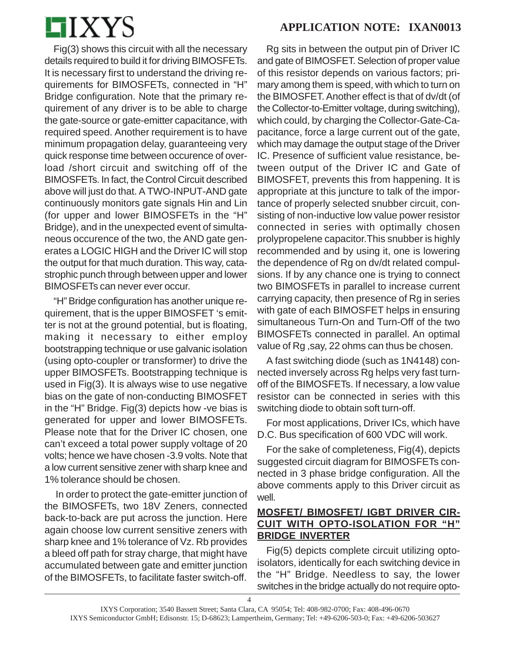

Fig(3) shows this circuit with all the necessary details required to build it for driving BIMOSFETs. It is necessary first to understand the driving requirements for BIMOSFETs, connected in "H" Bridge configuration. Note that the primary requirement of any driver is to be able to charge the gate-source or gate-emitter capacitance, with required speed. Another requirement is to have minimum propagation delay, guaranteeing very quick response time between occurence of overload /short circuit and switching off of the BIMOSFETs. In fact, the Control Circuit described above will just do that. A TWO-INPUT-AND gate continuously monitors gate signals Hin and Lin (for upper and lower BIMOSFETs in the "H" Bridge), and in the unexpected event of simultaneous occurence of the two, the AND gate generates a LOGIC HIGH and the Driver IC will stop the output for that much duration. This way, catastrophic punch through between upper and lower BIMOSFETs can never ever occur.

"H" Bridge configuration has another unique requirement, that is the upper BIMOSFET 's emitter is not at the ground potential, but is floating, making it necessary to either employ bootstrapping technique or use galvanic isolation (using opto-coupler or transformer) to drive the upper BIMOSFETs. Bootstrapping technique is used in Fig(3). It is always wise to use negative bias on the gate of non-conducting BIMOSFET in the "H" Bridge. Fig(3) depicts how -ve bias is generated for upper and lower BIMOSFETs. Please note that for the Driver IC chosen, one can't exceed a total power supply voltage of 20 volts; hence we have chosen -3.9 volts. Note that a low current sensitive zener with sharp knee and 1% tolerance should be chosen.

 In order to protect the gate-emitter junction of the BIMOSFETs, two 18V Zeners, connected back-to-back are put across the junction. Here again choose low current sensitive zeners with sharp knee and 1% tolerance of Vz. Rb provides a bleed off path for stray charge, that might have accumulated between gate and emitter junction of the BIMOSFETs, to facilitate faster switch-off.

Rg sits in between the output pin of Driver IC and gate of BIMOSFET. Selection of proper value of this resistor depends on various factors; primary among them is speed, with which to turn on the BIMOSFET. Another effect is that of dv/dt (of the Collector-to-Emitter voltage, during switching), which could, by charging the Collector-Gate-Capacitance, force a large current out of the gate, which may damage the output stage of the Driver IC. Presence of sufficient value resistance, between output of the Driver IC and Gate of BIMOSFET, prevents this from happening. It is appropriate at this juncture to talk of the importance of properly selected snubber circuit, consisting of non-inductive low value power resistor connected in series with optimally chosen prolypropelene capacitor.This snubber is highly recommended and by using it, one is lowering the dependence of Rg on dv/dt related compulsions. If by any chance one is trying to connect two BIMOSFETs in parallel to increase current carrying capacity, then presence of Rg in series with gate of each BIMOSFET helps in ensuring simultaneous Turn-On and Turn-Off of the two BIMOSFETs connected in parallel. An optimal value of Rg ,say, 22 ohms can thus be chosen.

A fast switching diode (such as 1N4148) connected inversely across Rg helps very fast turnoff of the BIMOSFETs. If necessary, a low value resistor can be connected in series with this switching diode to obtain soft turn-off.

For most applications, Driver ICs, which have D.C. Bus specification of 600 VDC will work.

For the sake of completeness, Fig(4), depicts suggested circuit diagram for BIMOSFETs connected in 3 phase bridge configuration. All the above comments apply to this Driver circuit as well.

## **MOSFET/ BIMOSFET/ IGBT DRIVER CIR-CUIT WITH OPTO-ISOLATION FOR "H" BRIDGE INVERTER**

Fig(5) depicts complete circuit utilizing optoisolators, identically for each switching device in the "H" Bridge. Needless to say, the lower switches in the bridge actually do not require opto-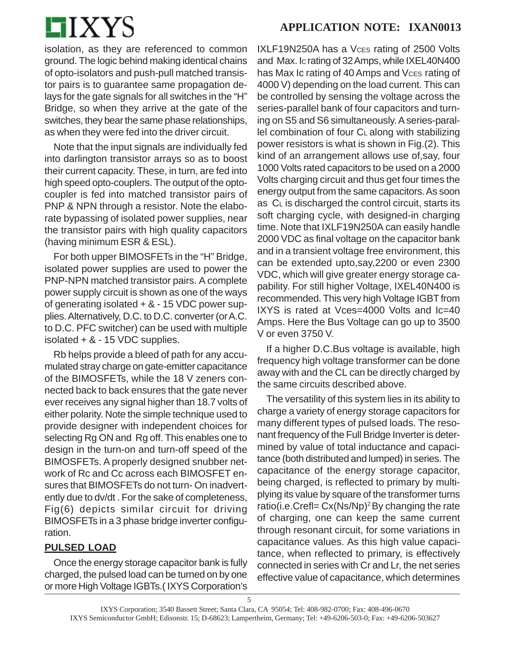

isolation, as they are referenced to common ground. The logic behind making identical chains of opto-isolators and push-pull matched transistor pairs is to guarantee same propagation delays for the gate signals for all switches in the "H" Bridge, so when they arrive at the gate of the switches, they bear the same phase relationships, as when they were fed into the driver circuit.

Note that the input signals are individually fed into darlington transistor arrays so as to boost their current capacity. These, in turn, are fed into high speed opto-couplers. The output of the optocoupler is fed into matched transistor pairs of PNP & NPN through a resistor. Note the elaborate bypassing of isolated power supplies, near the transistor pairs with high quality capacitors (having minimum ESR & ESL).

For both upper BIMOSFETs in the "H" Bridge, isolated power supplies are used to power the PNP-NPN matched transistor pairs. A complete power supply circuit is shown as one of the ways of generating isolated + & - 15 VDC power supplies. Alternatively, D.C. to D.C. converter (or A.C. to D.C. PFC switcher) can be used with multiple isolated + & - 15 VDC supplies.

Rb helps provide a bleed of path for any accumulated stray charge on gate-emitter capacitance of the BIMOSFETs, while the 18 V zeners connected back to back ensures that the gate never ever receives any signal higher than 18.7 volts of either polarity. Note the simple technique used to provide designer with independent choices for selecting Rg ON and Rg off. This enables one to design in the turn-on and turn-off speed of the BIMOSFETs. A properly designed snubber network of Rc and Cc across each BIMOSFET ensures that BIMOSFETs do not turn- On inadvertently due to dv/dt . For the sake of completeness, Fig(6) depicts similar circuit for driving BIMOSFETs in a 3 phase bridge inverter configuration.

## **PULSED LOAD**

Once the energy storage capacitor bank is fully charged, the pulsed load can be turned on by one or more High Voltage IGBTs.( IXYS Corporation's IXLF19N250A has a Vces rating of 2500 Volts and Max. IC rating of 32 Amps, while IXEL40N400 has Max Ic rating of 40 Amps and Vces rating of 4000 V) depending on the load current. This can be controlled by sensing the voltage across the series-parallel bank of four capacitors and turning on S5 and S6 simultaneously. A series-paral- $\text{lel}$  combination of four C<sub>L</sub> along with stabilizing power resistors is what is shown in Fig.(2). This kind of an arrangement allows use of,say, four 1000 Volts rated capacitors to be used on a 2000 Volts charging circuit and thus get four times the energy output from the same capacitors. As soon as CL is discharged the control circuit, starts its soft charging cycle, with designed-in charging time. Note that IXLF19N250A can easily handle 2000 VDC as final voltage on the capacitor bank and in a transient voltage free environment, this can be extended upto,say,2200 or even 2300 VDC, which will give greater energy storage capability. For still higher Voltage, IXEL40N400 is recommended. This very high Voltage IGBT from IXYS is rated at Vces=4000 Volts and Ic=40 Amps. Here the Bus Voltage can go up to 3500 V or even 3750 V.

If a higher D.C.Bus voltage is available, high frequency high voltage transformer can be done away with and the CL can be directly charged by the same circuits described above.

The versatility of this system lies in its ability to charge a variety of energy storage capacitors for many different types of pulsed loads. The resonant frequency of the Full Bridge Inverter is determined by value of total inductance and capacitance (both distributed and lumped) in series. The capacitance of the energy storage capacitor, being charged, is reflected to primary by multiplying its value by square of the transformer turns ratio(i.e.Crefl=  $Cx(Ns/Np)^2$  By changing the rate of charging, one can keep the same current through resonant circuit, for some variations in capacitance values. As this high value capacitance, when reflected to primary, is effectively connected in series with Cr and Lr, the net series effective value of capacitance, which determines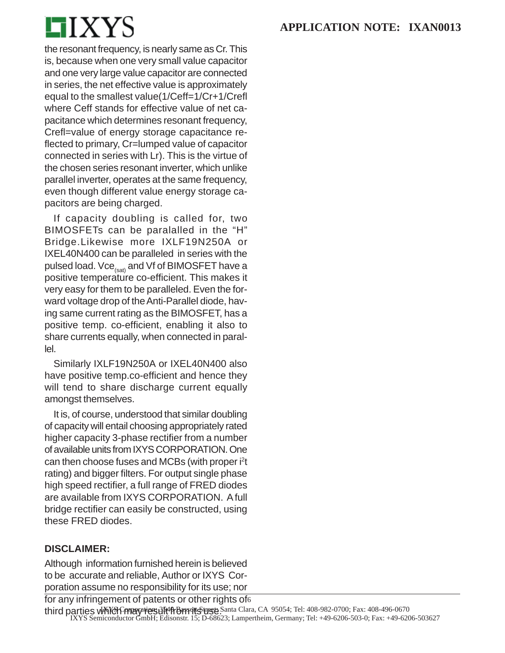

the resonant frequency, is nearly same as Cr. This is, because when one very small value capacitor and one very large value capacitor are connected in series, the net effective value is approximately equal to the smallest value(1/Ceff=1/Cr+1/Crefl where Ceff stands for effective value of net capacitance which determines resonant frequency, Crefl=value of energy storage capacitance reflected to primary, Cr=lumped value of capacitor connected in series with Lr). This is the virtue of the chosen series resonant inverter, which unlike parallel inverter, operates at the same frequency, even though different value energy storage capacitors are being charged.

If capacity doubling is called for, two BIMOSFETs can be paralalled in the "H" Bridge.Likewise more IXLF19N250A or IXEL40N400 can be paralleled in series with the pulsed load.  $Vce_{(sat)}$  and Vf of BIMOSFET have a positive temperature co-efficient. This makes it very easy for them to be paralleled. Even the forward voltage drop of the Anti-Parallel diode, having same current rating as the BIMOSFET, has a positive temp. co-efficient, enabling it also to share currents equally, when connected in parallel.

Similarly IXLF19N250A or IXEL40N400 also have positive temp.co-efficient and hence they will tend to share discharge current equally amongst themselves.

It is, of course, understood that similar doubling of capacity will entail choosing appropriately rated higher capacity 3-phase rectifier from a number of available units from IXYS CORPORATION. One can then choose fuses and MCBs (with proper i<sup>2</sup>t rating) and bigger filters. For output single phase high speed rectifier, a full range of FRED diodes are available from IXYS CORPORATION. A full bridge rectifier can easily be constructed, using these FRED diodes.

#### **DISCLAIMER:**

Although information furnished herein is believed to be accurate and reliable, Author or IXYS Corporation assume no responsibility for its use; nor

third parties which may result them ts use Santa Clara, CA 95054; Tel: 408-982-0700; Fax: 408-496-0670 IXYS Semiconductor GmbH; Edisonstr. 15; D-68623; Lampertheim, Germany; Tel: +49-6206-503-0; Fax: +49-6206-503627 for any infringement of patents or other rights of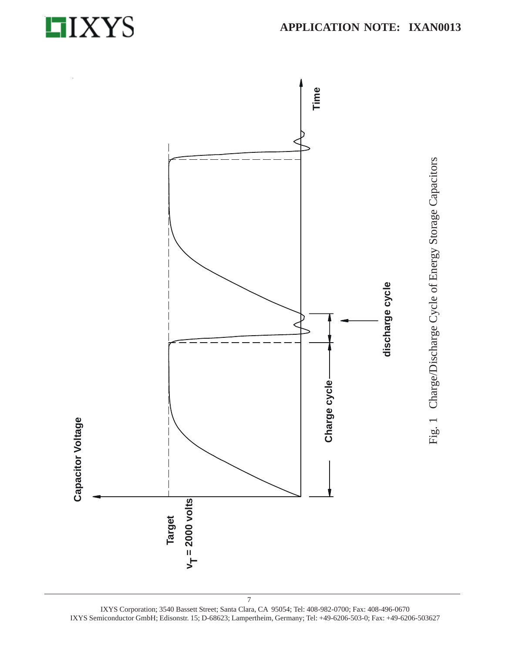



IXYS Corporation; 3540 Bassett Street; Santa Clara, CA 95054; Tel: 408-982-0700; Fax: 408-496-0670 IXYS Semiconductor GmbH; Edisonstr. 15; D-68623; Lampertheim, Germany; Tel: +49-6206-503-0; Fax: +49-6206-503627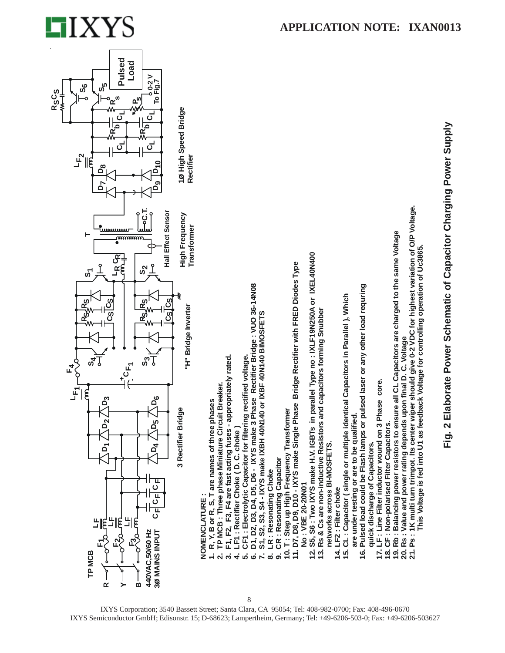



IXYS Corporation; 3540 Bassett Street; Santa Clara, CA 95054; Tel: 408-982-0700; Fax: 408-496-0670 IXYS Semiconductor GmbH; Edisonstr. 15; D-68623; Lampertheim, Germany; Tel: +49-6206-503-0; Fax: +49-6206-503627

8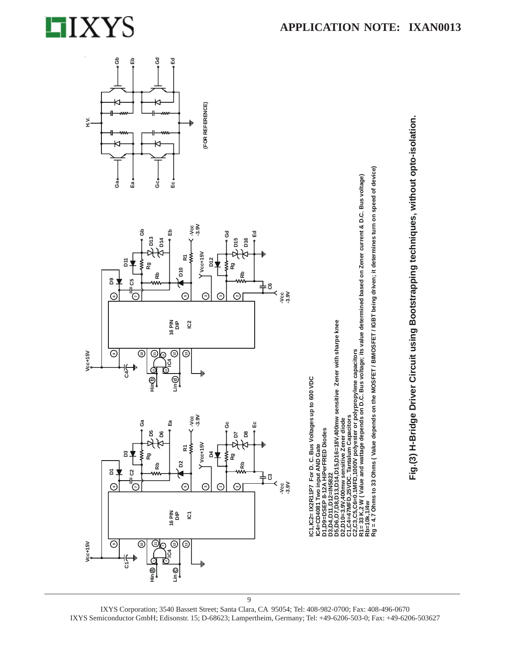

 $\odot$ 

 $\odot$ 

Vcc+15V

؊

☺

Ga

S v

ន

مہ

☺ E

Hin @

石草

 $\odot$ 

 $\odot$ 

ボロ

 $Vcc+15V$ 

පි മ

Rg

Rb

☺

Hin®

b ₫



ତ

de<br>Nid 91 IC<sub>2</sub>

 $\odot$ ☺

 $\overline{\Theta}$ 

Ea

 $\frac{1}{3.90}$ 

≅ ≶

 $\mathbf{\tilde{a}}$ 

⊙

16 PIN<br>DIP  $\overline{6}$ 

 $\odot$ ☺

Lin ©

5

 $Y$ Vcc+15V

⊙

E

ă

မိ

Rg

8 5

ю

æ

⊙

⊙ Θ ⊙



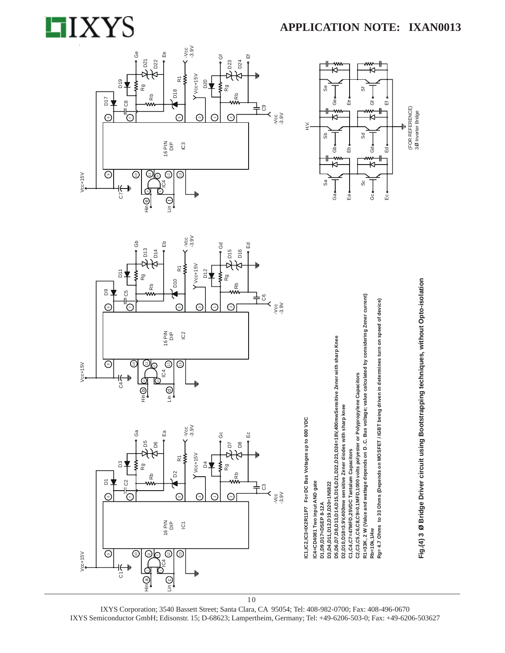#### $-3.9V$ ÊФ Ge ö ŭ D<sub>21</sub>  $D22$ D23 D<sub>24</sub>  $Y$ Vcc+15V ≹  $\tilde{\simeq}$ D<sub>19</sub>  $D20$ ξ Rg ζã D<sub>18</sub> Rb Rb D<sub>17</sub> රී 十8  $\frac{1}{3}$ .9V  $\odot$  $\odot$ Ġ Θ  $\odot$ 16 PIN<br> $\frac{1}{2}$ C<sub>3</sub>  $\odot$ ⋐ ☺  $Vcc+15V$ ⊙ ج) ว  $\overline{c}$ 4 .<br>G  $\overline{\bigcirc_{\mathbb{H}}}$  $\overline{\bigoplus_{j=1}^n}$





**APPLICATION NOTE: IXAN0013** 

IXYS Corporation; 3540 Bassett Street; Santa Clara, CA 95054; Tel: 408-982-0700; Fax: 408-496-0670 IXYS Semiconductor GmbH; Edisonstr. 15; D-68623; Lampertheim, Germany; Tel: +49-6206-503-0; Fax: +49-6206-503627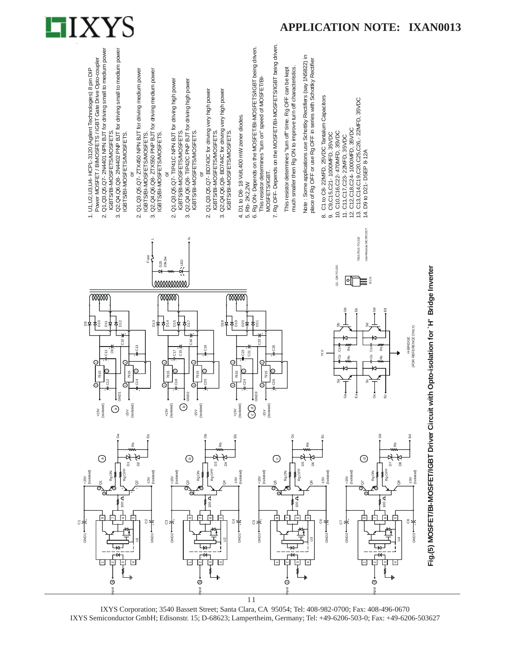



IXYS Corporation; 3540 Bassett Street; Santa Clara, CA 95054; Tel: 408-982-0700; Fax: 408-496-0670 IXYS Semiconductor GmbH; Edisonstr. 15; D-68623; Lampertheim, Germany; Tel: +49-6206-503-0; Fax: +49-6206-503627 11

<sub>put</sub>

<sub>put</sub>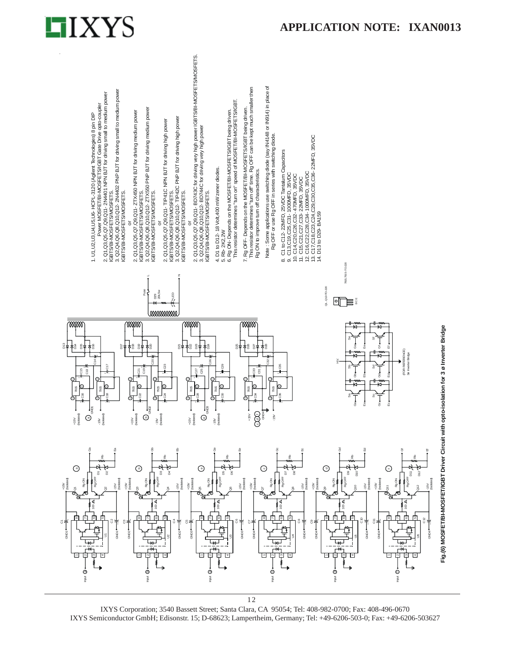

**Fig.(6) MOSFET/BI-MOSFET/IGBT Driver Circuit with opto-isolation for 3 ø Inverter Bridge**

Fig.(6) MOSFET/BI-MOSFET/IGBT Driver Circuit with opto-isolation for 3 ø Inverter Bridge



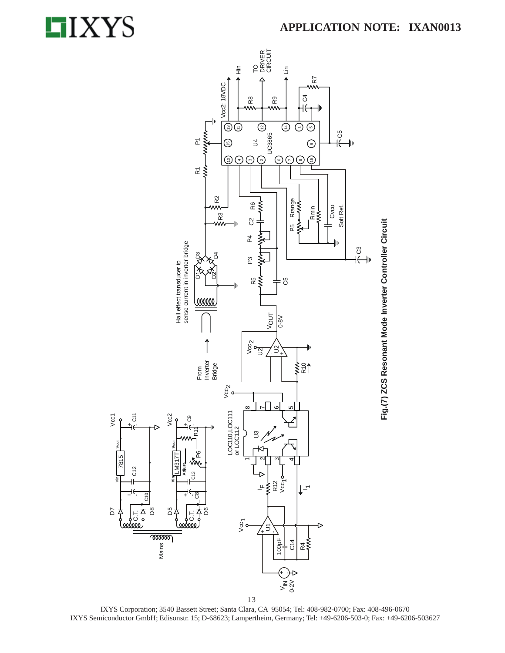

D7

Vcc1



IXYS Corporation; 3540 Bassett Street; Santa Clara, CA 95054; Tel: 408-982-0700; Fax: 408-496-0670 IXYS Semiconductor GmbH; Edisonstr. 15; D-68623; Lampertheim, Germany; Tel: +49-6206-503-0; Fax: +49-6206-503627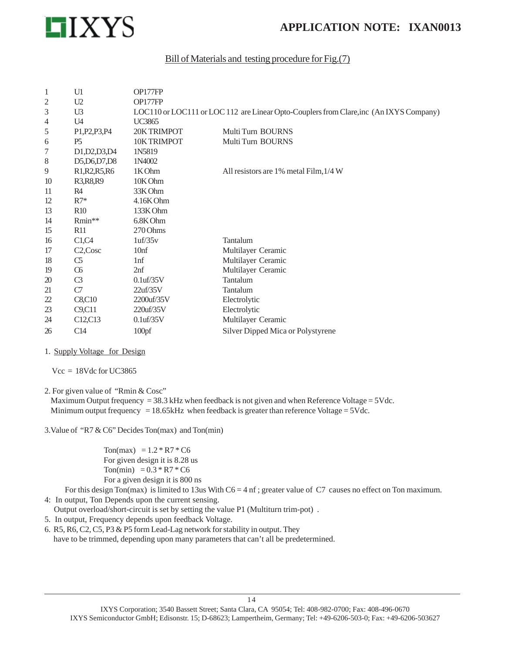

#### Bill of Materials and testing procedure for Fig.(7)

| U1                | OP177FP           |                                                                                        |
|-------------------|-------------------|----------------------------------------------------------------------------------------|
| U <sub>2</sub>    | OP177FP           |                                                                                        |
| U <sub>3</sub>    |                   | LOC110 or LOC111 or LOC 112 are Linear Opto-Couplers from Clare, inc (An IXYS Company) |
| U <sub>4</sub>    | <b>UC3865</b>     |                                                                                        |
| P1, P2, P3, P4    | 20KTRIMPOT        | Multi Turn BOURNS                                                                      |
| <b>P5</b>         | 10K TRIMPOT       | Multi Turn BOURNS                                                                      |
| D1, D2, D3, D4    | 1N5819            |                                                                                        |
| D5, D6, D7, D8    | 1N4002            |                                                                                        |
| R1, R2, R5, R6    | 1K Ohm            | All resistors are 1% metal Film, 1/4 W                                                 |
| R3, R8, R9        | 10K Ohm           |                                                                                        |
| R <sub>4</sub>    | 33K Ohm           |                                                                                        |
| $R7*$             | 4.16K Ohm         |                                                                                        |
| R10               | 133K Ohm          |                                                                                        |
| Rmin**            | 6.8K Ohm          |                                                                                        |
| R11               | 270 Ohms          |                                                                                        |
| C1,C4             | 1uf/35v           | Tantalum                                                                               |
| $C2, \text{Cosc}$ | 10 <sub>nf</sub>  | Multilayer Ceramic                                                                     |
| C5                | 1 <sup>nf</sup>   | Multilayer Ceramic                                                                     |
| $\alpha$          | 2nf               | Multilayer Ceramic                                                                     |
| C <sub>3</sub>    | $0.1$ uf/35V      | Tantalum                                                                               |
| C7                | 22uf/35V          | Tantalum                                                                               |
| C8,C10            | 2200uf/35V        | Electrolytic                                                                           |
| C9, C11           | $220$ uf/ $35$ V  | Electrolytic                                                                           |
| C12,C13           | $0.1$ uf/35V      | Multilayer Ceramic                                                                     |
| C14               | 100 <sub>pf</sub> | Silver Dipped Mica or Polystyrene                                                      |
|                   |                   |                                                                                        |

#### 1. Supply Voltage for Design

 $Vcc = 18Vdc$  for UC3865

2. For given value of "Rmin & Cosc"

Maximum Output frequency = 38.3 kHz when feedback is not given and when Reference Voltage =  $5$ Vdc. Minimum output frequency  $= 18.65kHz$  when feedback is greater than reference Voltage = 5Vdc.

3.Value of "R7 & C6" Decides Ton(max) and Ton(min)

Ton(max) =  $1.2 * R7 * C6$  For given design it is 8.28 us Ton(min) =  $0.3 * R7 * C6$ For a given design it is 800 ns

For this design Ton(max) is limited to 13us With  $C6 = 4$  nf; greater value of C7 causes no effect on Ton maximum.

4: In output, Ton Depends upon the current sensing.

Output overload/short-circuit is set by setting the value P1 (Multiturn trim-pot) .

- 5. In output, Frequency depends upon feedback Voltage.
- 6. R5, R6, C2, C5, P3 & P5 form Lead-Lag network for stability in output. They have to be trimmed, depending upon many parameters that can't all be predetermined.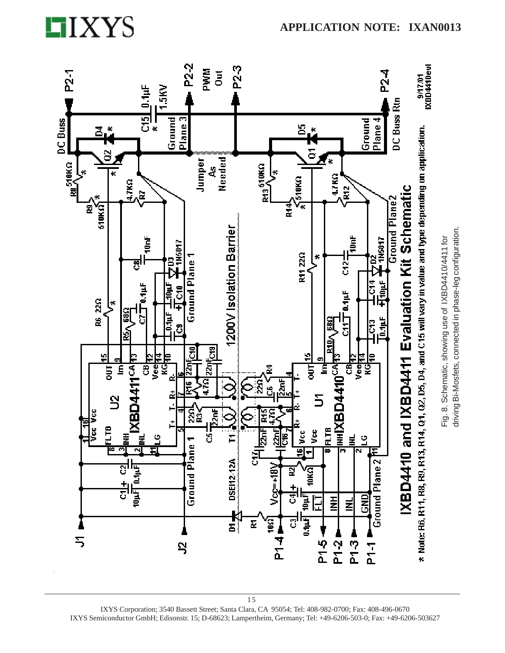